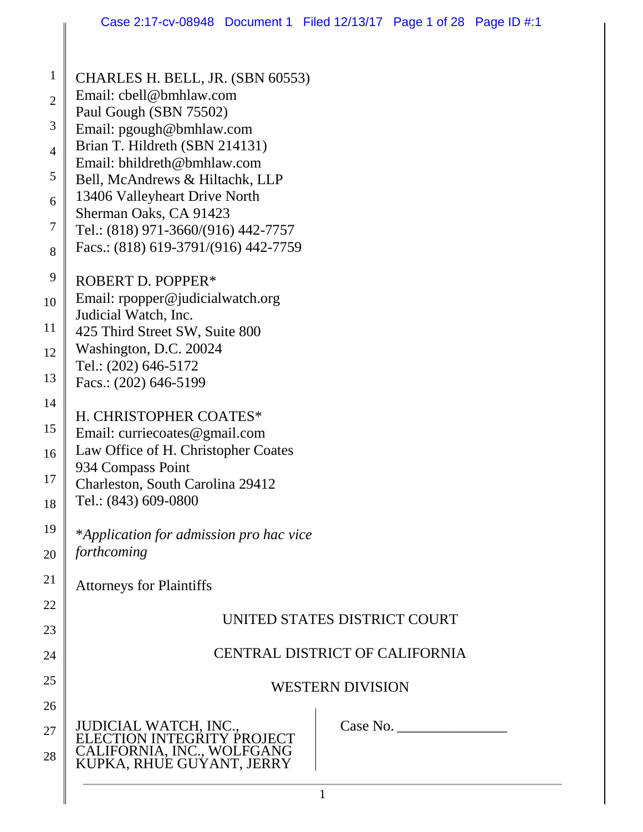| $\mathbf{1}$   | CHARLES H. BELL, JR. (SBN 60553)<br>Email: cbell@bmhlaw.com                           |  |  |  |  |
|----------------|---------------------------------------------------------------------------------------|--|--|--|--|
| $\mathbf{2}$   | Paul Gough (SBN 75502)                                                                |  |  |  |  |
| 3              | Email: pgough@bmhlaw.com                                                              |  |  |  |  |
| $\overline{4}$ | Brian T. Hildreth (SBN 214131)<br>Email: bhildreth@bmhlaw.com                         |  |  |  |  |
| 5              | Bell, McAndrews & Hiltachk, LLP                                                       |  |  |  |  |
| 6              | 13406 Valleyheart Drive North                                                         |  |  |  |  |
| $\overline{7}$ | Sherman Oaks, CA 91423<br>Tel.: (818) 971-3660/(916) 442-7757                         |  |  |  |  |
| 8              | Facs.: (818) 619-3791/(916) 442-7759                                                  |  |  |  |  |
| 9              | ROBERT D. POPPER*                                                                     |  |  |  |  |
| 10             | Email: rpopper@judicialwatch.org                                                      |  |  |  |  |
| 11             | Judicial Watch, Inc.<br>425 Third Street SW, Suite 800                                |  |  |  |  |
| 12             | Washington, D.C. 20024                                                                |  |  |  |  |
| 13             | Tel.: (202) 646-5172                                                                  |  |  |  |  |
| 14             | Facs.: (202) 646-5199                                                                 |  |  |  |  |
|                | H. CHRISTOPHER COATES*                                                                |  |  |  |  |
| 15             | Email: curriecoates@gmail.com                                                         |  |  |  |  |
| 16             | Law Office of H. Christopher Coates<br>934 Compass Point                              |  |  |  |  |
| 17             | Charleston, South Carolina 29412                                                      |  |  |  |  |
| 18             | Tel.: (843) 609-0800                                                                  |  |  |  |  |
| 19             | *Application for admission pro hac vice                                               |  |  |  |  |
| 20             | forthcoming                                                                           |  |  |  |  |
| 21             | <b>Attorneys for Plaintiffs</b>                                                       |  |  |  |  |
| 22             | UNITED STATES DISTRICT COURT                                                          |  |  |  |  |
| 23             |                                                                                       |  |  |  |  |
| 24             | <b>CENTRAL DISTRICT OF CALIFORNIA</b>                                                 |  |  |  |  |
| 25             | <b>WESTERN DIVISION</b>                                                               |  |  |  |  |
| 26             |                                                                                       |  |  |  |  |
| 27             | JUDICIAL WATCH, INC.,<br>Case No.                                                     |  |  |  |  |
| 28             | ELECTION INTEGRITY PROJECT<br>CALIFORNIA, INC., WOLFGANG<br>KUPKA, RHUE GUYANT, JERRY |  |  |  |  |
|                | $\mathbf{1}$                                                                          |  |  |  |  |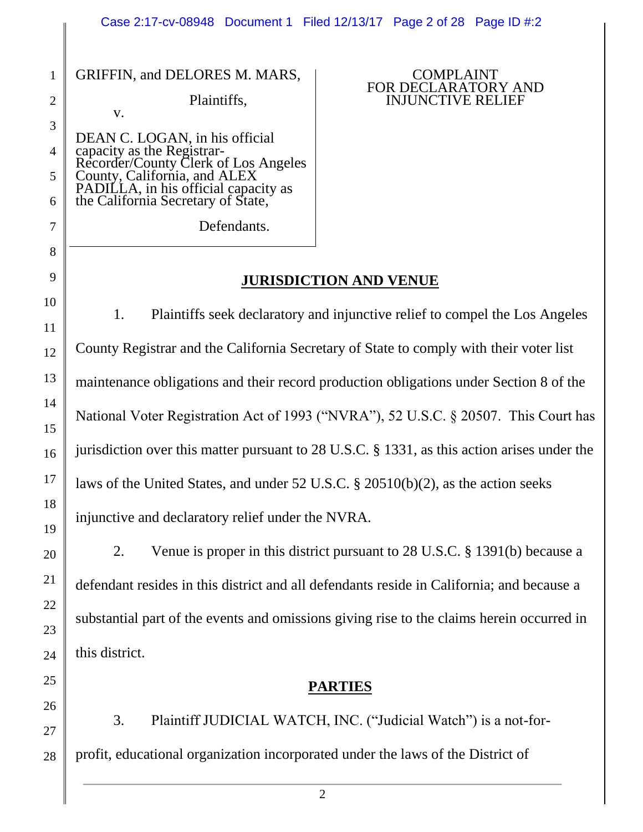#### 1 2 GRIFFIN, and DELORES M. MARS,

v.

3

4

5

7

8

9

10

11

12

13

14

15

16

17

18

19

20

21

22

23

24

25

26

27

28

Plaintiffs,

6 DEAN C. LOGAN, in his official capacity as the Registrar-Recorder/County Clerk of Los Angeles County, California, and ALEX PADILLA, in his official capacity as the California Secretary of State,

Defendants.

#### COMPLAINT FOR DECLARATORY AND INJUNCTIVE RELIEF

## **JURISDICTION AND VENUE**

1. Plaintiffs seek declaratory and injunctive relief to compel the Los Angeles County Registrar and the California Secretary of State to comply with their voter list maintenance obligations and their record production obligations under Section 8 of the National Voter Registration Act of 1993 ("NVRA"), 52 U.S.C. § 20507. This Court has jurisdiction over this matter pursuant to 28 U.S.C. § 1331, as this action arises under the laws of the United States, and under 52 U.S.C. § 20510(b)(2), as the action seeks injunctive and declaratory relief under the NVRA.

2. Venue is proper in this district pursuant to 28 U.S.C. § 1391(b) because a defendant resides in this district and all defendants reside in California; and because a substantial part of the events and omissions giving rise to the claims herein occurred in this district.

### **PARTIES**

3. Plaintiff JUDICIAL WATCH, INC. ("Judicial Watch") is a not-forprofit, educational organization incorporated under the laws of the District of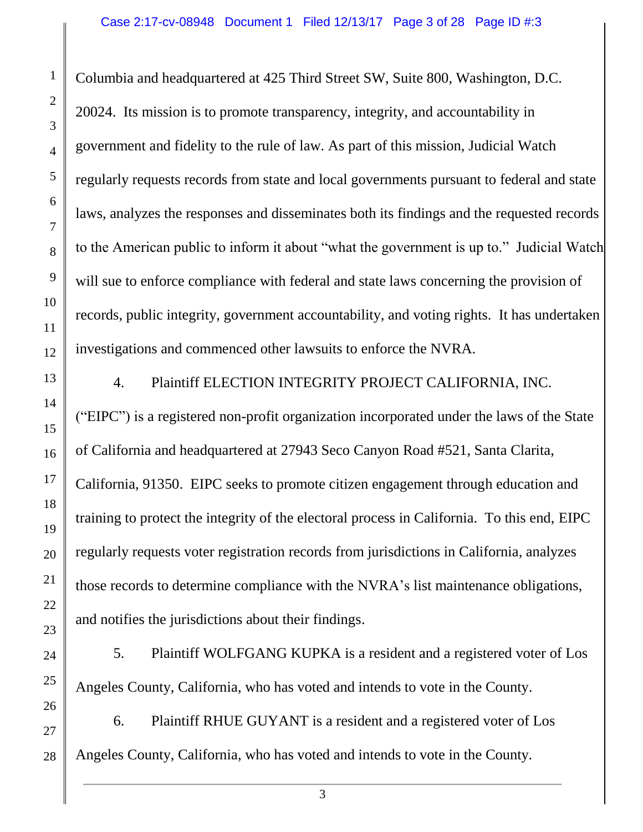Columbia and headquartered at 425 Third Street SW, Suite 800, Washington, D.C. 20024. Its mission is to promote transparency, integrity, and accountability in government and fidelity to the rule of law. As part of this mission, Judicial Watch regularly requests records from state and local governments pursuant to federal and state laws, analyzes the responses and disseminates both its findings and the requested records to the American public to inform it about "what the government is up to." Judicial Watch will sue to enforce compliance with federal and state laws concerning the provision of records, public integrity, government accountability, and voting rights. It has undertaken investigations and commenced other lawsuits to enforce the NVRA.

4. Plaintiff ELECTION INTEGRITY PROJECT CALIFORNIA, INC. ("EIPC") is a registered non-profit organization incorporated under the laws of the State of California and headquartered at 27943 Seco Canyon Road #521, Santa Clarita, California, 91350. EIPC seeks to promote citizen engagement through education and training to protect the integrity of the electoral process in California. To this end, EIPC regularly requests voter registration records from jurisdictions in California, analyzes those records to determine compliance with the NVRA's list maintenance obligations, and notifies the jurisdictions about their findings.

5. Plaintiff WOLFGANG KUPKA is a resident and a registered voter of Los Angeles County, California, who has voted and intends to vote in the County.

6. Plaintiff RHUE GUYANT is a resident and a registered voter of Los Angeles County, California, who has voted and intends to vote in the County.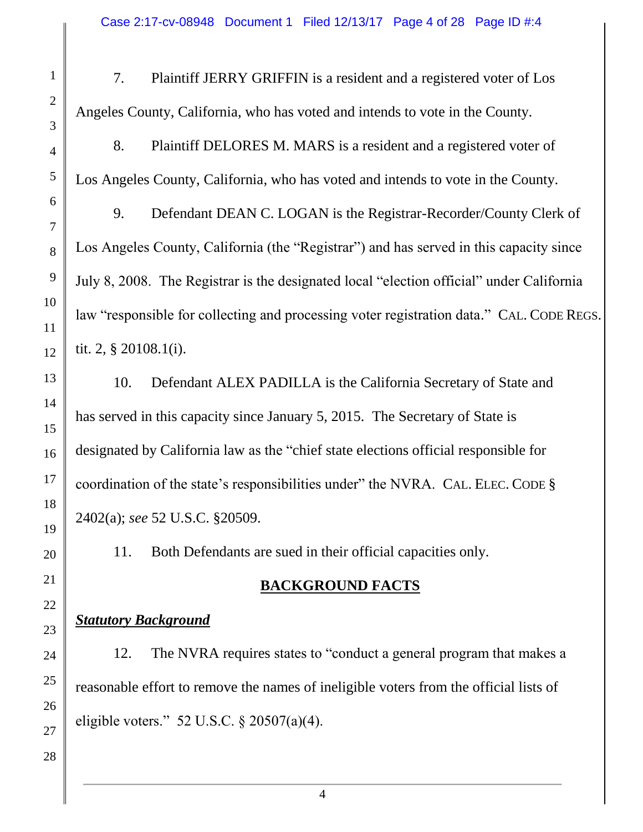- 7. Plaintiff JERRY GRIFFIN is a resident and a registered voter of Los Angeles County, California, who has voted and intends to vote in the County.
- 8. Plaintiff DELORES M. MARS is a resident and a registered voter of Los Angeles County, California, who has voted and intends to vote in the County.

9. Defendant DEAN C. LOGAN is the Registrar-Recorder/County Clerk of Los Angeles County, California (the "Registrar") and has served in this capacity since July 8, 2008. The Registrar is the designated local "election official" under California law "responsible for collecting and processing voter registration data." CAL. CODE REGS. tit. 2, § 20108.1(i).

10. Defendant ALEX PADILLA is the California Secretary of State and has served in this capacity since January 5, 2015. The Secretary of State is designated by California law as the "chief state elections official responsible for coordination of the state's responsibilities under" the NVRA. CAL. ELEC. CODE § 2402(a); *see* 52 U.S.C. §20509.

11. Both Defendants are sued in their official capacities only.

# **BACKGROUND FACTS**

# *Statutory Background*

12. The NVRA requires states to "conduct a general program that makes a reasonable effort to remove the names of ineligible voters from the official lists of eligible voters." 52 U.S.C. § 20507(a)(4).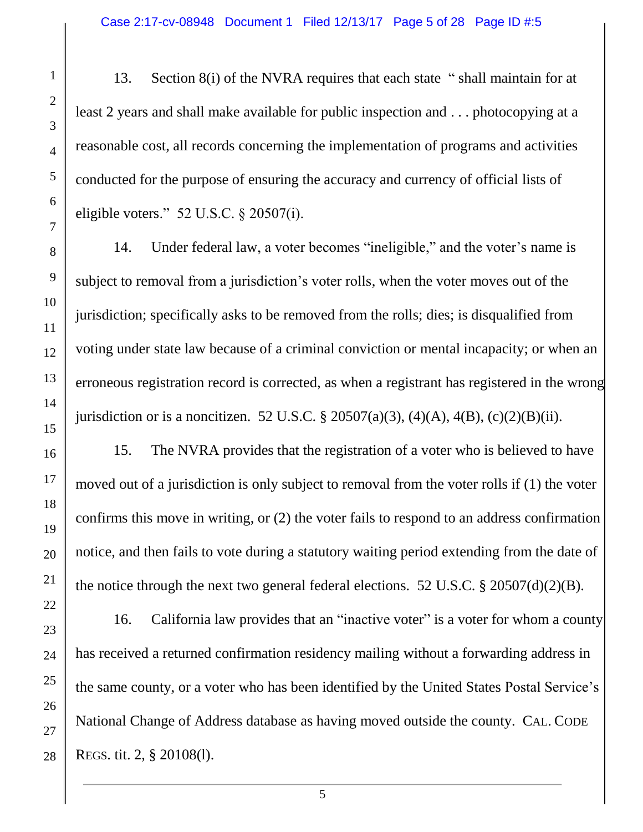13. Section 8(i) of the NVRA requires that each state " shall maintain for at least 2 years and shall make available for public inspection and . . . photocopying at a reasonable cost, all records concerning the implementation of programs and activities conducted for the purpose of ensuring the accuracy and currency of official lists of eligible voters." 52 U.S.C. § 20507(i).

14. Under federal law, a voter becomes "ineligible," and the voter's name is subject to removal from a jurisdiction's voter rolls, when the voter moves out of the jurisdiction; specifically asks to be removed from the rolls; dies; is disqualified from voting under state law because of a criminal conviction or mental incapacity; or when an erroneous registration record is corrected, as when a registrant has registered in the wrong jurisdiction or is a noncitizen. 52 U.S.C. § 20507(a)(3), (4)(A), 4(B), (c)(2)(B)(ii).

15. The NVRA provides that the registration of a voter who is believed to have moved out of a jurisdiction is only subject to removal from the voter rolls if (1) the voter confirms this move in writing, or (2) the voter fails to respond to an address confirmation notice, and then fails to vote during a statutory waiting period extending from the date of the notice through the next two general federal elections. 52 U.S.C. § 20507(d)(2)(B).

16. California law provides that an "inactive voter" is a voter for whom a county has received a returned confirmation residency mailing without a forwarding address in the same county, or a voter who has been identified by the United States Postal Service's National Change of Address database as having moved outside the county. CAL. CODE REGS. tit. 2, § 20108(l).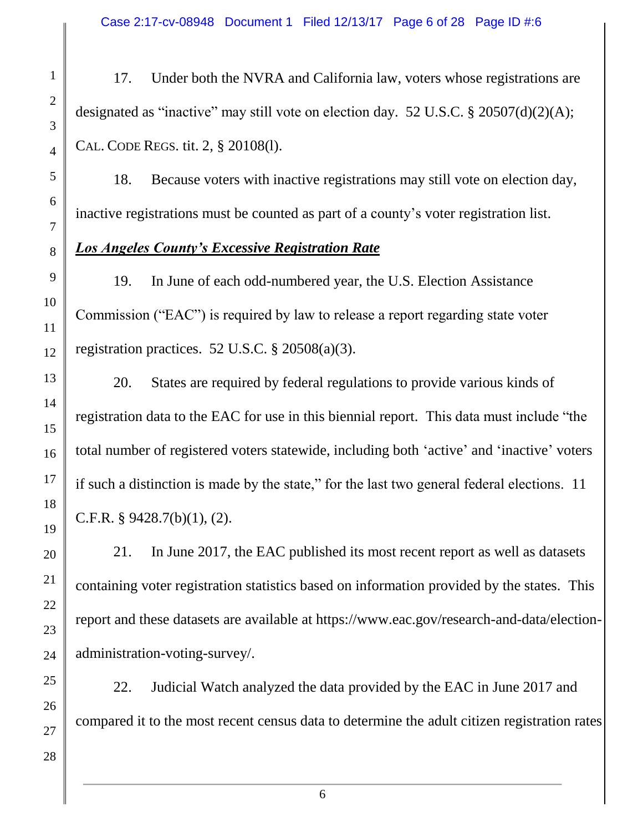Case 2:17-cv-08948 Document 1 Filed 12/13/17 Page 6 of 28 Page ID #:6

17. Under both the NVRA and California law, voters whose registrations are designated as "inactive" may still vote on election day. 52 U.S.C. § 20507(d)(2)(A); CAL. CODE REGS. tit. 2, § 20108(l).

18. Because voters with inactive registrations may still vote on election day, inactive registrations must be counted as part of a county's voter registration list.

#### *Los Angeles County's Excessive Registration Rate*

19. In June of each odd-numbered year, the U.S. Election Assistance Commission ("EAC") is required by law to release a report regarding state voter registration practices. 52 U.S.C. § 20508(a)(3).

20. States are required by federal regulations to provide various kinds of registration data to the EAC for use in this biennial report. This data must include "the total number of registered voters statewide, including both 'active' and 'inactive' voters if such a distinction is made by the state," for the last two general federal elections. 11 C.F.R. § 9428.7(b)(1), (2).

21. In June 2017, the EAC published its most recent report as well as datasets containing voter registration statistics based on information provided by the states. This report and these datasets are available at https://www.eac.gov/research-and-data/electionadministration-voting-survey/.

22. Judicial Watch analyzed the data provided by the EAC in June 2017 and compared it to the most recent census data to determine the adult citizen registration rates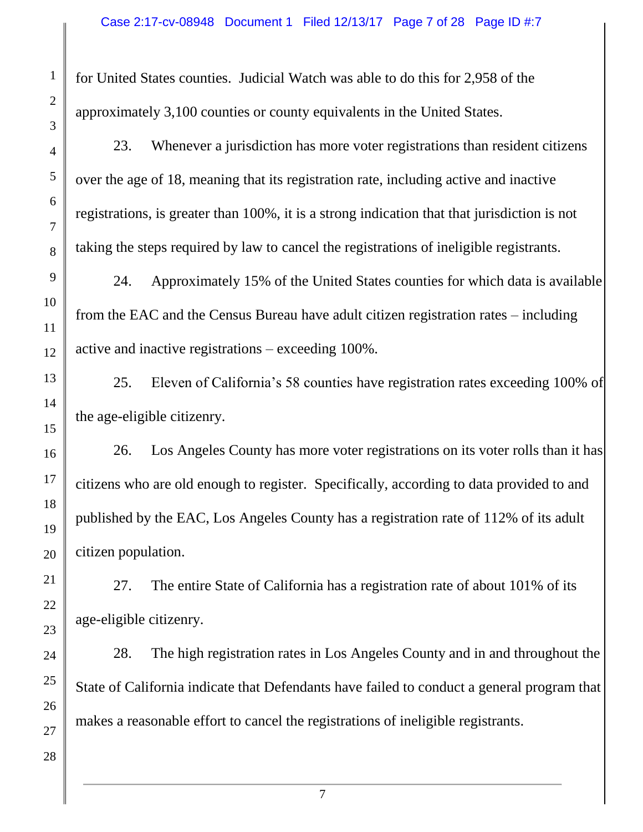for United States counties. Judicial Watch was able to do this for 2,958 of the approximately 3,100 counties or county equivalents in the United States.

23. Whenever a jurisdiction has more voter registrations than resident citizens over the age of 18, meaning that its registration rate, including active and inactive registrations, is greater than 100%, it is a strong indication that that jurisdiction is not taking the steps required by law to cancel the registrations of ineligible registrants.

24. Approximately 15% of the United States counties for which data is available from the EAC and the Census Bureau have adult citizen registration rates – including active and inactive registrations – exceeding 100%.

25. Eleven of California's 58 counties have registration rates exceeding 100% of the age-eligible citizenry.

26. Los Angeles County has more voter registrations on its voter rolls than it has citizens who are old enough to register. Specifically, according to data provided to and published by the EAC, Los Angeles County has a registration rate of 112% of its adult citizen population.

27. The entire State of California has a registration rate of about 101% of its age-eligible citizenry.

28. The high registration rates in Los Angeles County and in and throughout the State of California indicate that Defendants have failed to conduct a general program that makes a reasonable effort to cancel the registrations of ineligible registrants.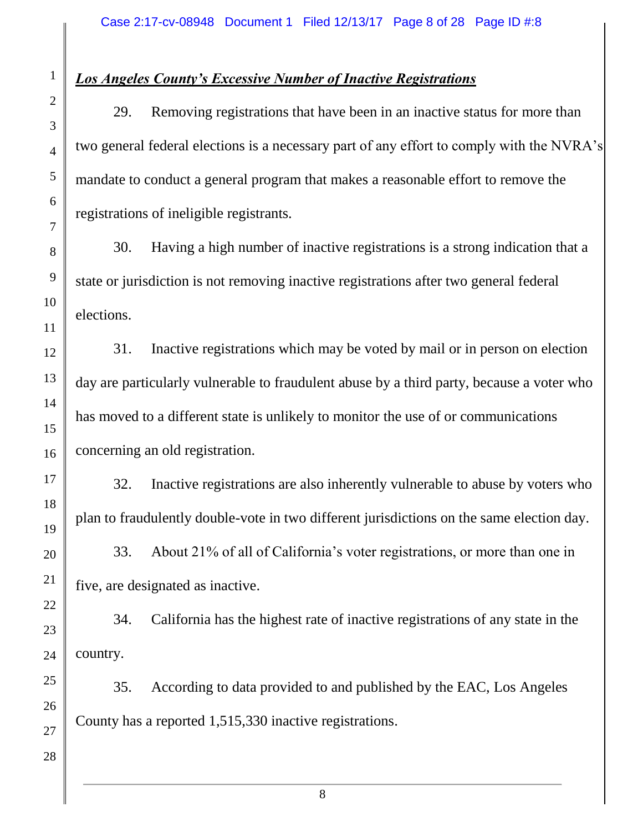### *Los Angeles County's Excessive Number of Inactive Registrations*

29. Removing registrations that have been in an inactive status for more than two general federal elections is a necessary part of any effort to comply with the NVRA's mandate to conduct a general program that makes a reasonable effort to remove the registrations of ineligible registrants.

30. Having a high number of inactive registrations is a strong indication that a state or jurisdiction is not removing inactive registrations after two general federal elections.

31. Inactive registrations which may be voted by mail or in person on election day are particularly vulnerable to fraudulent abuse by a third party, because a voter who has moved to a different state is unlikely to monitor the use of or communications concerning an old registration.

32. Inactive registrations are also inherently vulnerable to abuse by voters who plan to fraudulently double-vote in two different jurisdictions on the same election day.

33. About 21% of all of California's voter registrations, or more than one in five, are designated as inactive.

34. California has the highest rate of inactive registrations of any state in the country.

35. According to data provided to and published by the EAC, Los Angeles County has a reported 1,515,330 inactive registrations.

1

2

3

4

5

6

7

8

9

10

11

12

13

14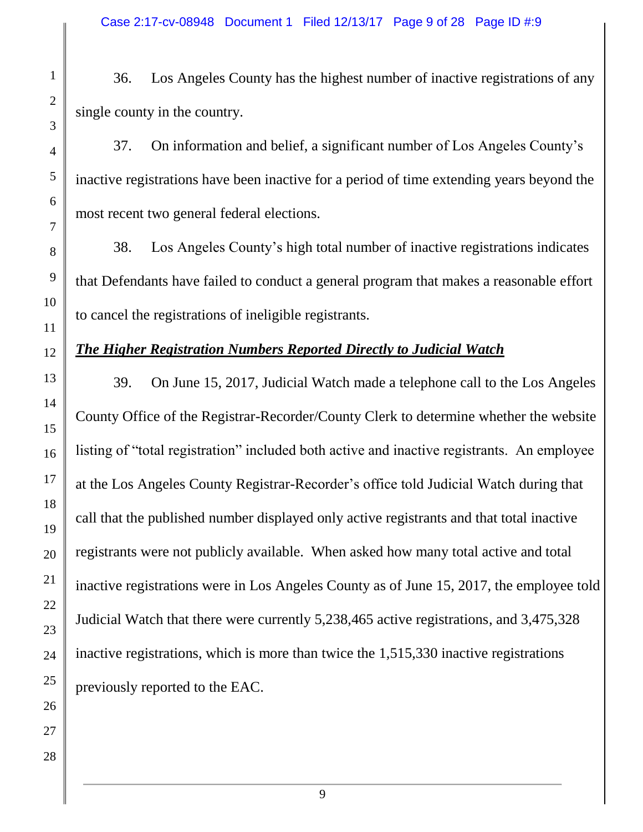36. Los Angeles County has the highest number of inactive registrations of any single county in the country.

37. On information and belief, a significant number of Los Angeles County's inactive registrations have been inactive for a period of time extending years beyond the most recent two general federal elections.

38. Los Angeles County's high total number of inactive registrations indicates that Defendants have failed to conduct a general program that makes a reasonable effort to cancel the registrations of ineligible registrants.

## *The Higher Registration Numbers Reported Directly to Judicial Watch*

39. On June 15, 2017, Judicial Watch made a telephone call to the Los Angeles County Office of the Registrar-Recorder/County Clerk to determine whether the website listing of "total registration" included both active and inactive registrants. An employee at the Los Angeles County Registrar-Recorder's office told Judicial Watch during that call that the published number displayed only active registrants and that total inactive registrants were not publicly available. When asked how many total active and total inactive registrations were in Los Angeles County as of June 15, 2017, the employee told Judicial Watch that there were currently 5,238,465 active registrations, and 3,475,328 inactive registrations, which is more than twice the 1,515,330 inactive registrations previously reported to the EAC.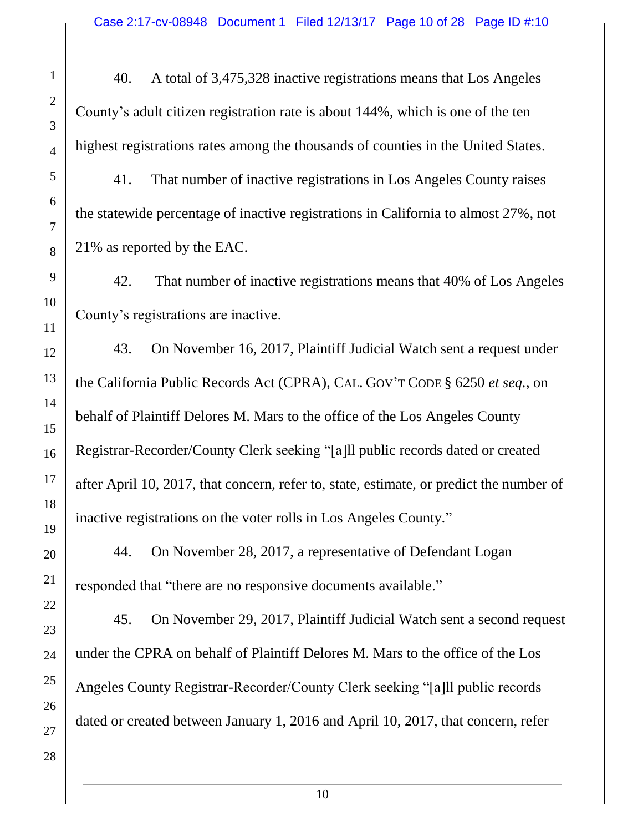40. A total of 3,475,328 inactive registrations means that Los Angeles County's adult citizen registration rate is about 144%, which is one of the ten highest registrations rates among the thousands of counties in the United States.

41. That number of inactive registrations in Los Angeles County raises the statewide percentage of inactive registrations in California to almost 27%, not 21% as reported by the EAC.

42. That number of inactive registrations means that 40% of Los Angeles County's registrations are inactive.

43. On November 16, 2017, Plaintiff Judicial Watch sent a request under the California Public Records Act (CPRA), CAL. GOV'T CODE § 6250 *et seq.*, on behalf of Plaintiff Delores M. Mars to the office of the Los Angeles County Registrar-Recorder/County Clerk seeking "[a]ll public records dated or created after April 10, 2017, that concern, refer to, state, estimate, or predict the number of inactive registrations on the voter rolls in Los Angeles County."

44. On November 28, 2017, a representative of Defendant Logan responded that "there are no responsive documents available."

45. On November 29, 2017, Plaintiff Judicial Watch sent a second request under the CPRA on behalf of Plaintiff Delores M. Mars to the office of the Los Angeles County Registrar-Recorder/County Clerk seeking "[a]ll public records dated or created between January 1, 2016 and April 10, 2017, that concern, refer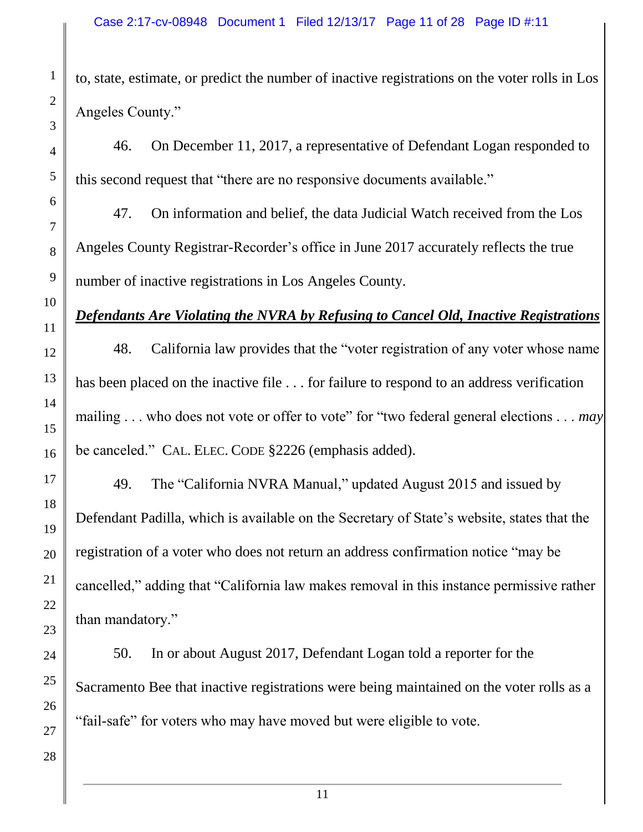to, state, estimate, or predict the number of inactive registrations on the voter rolls in Los Angeles County."

46. On December 11, 2017, a representative of Defendant Logan responded to this second request that "there are no responsive documents available."

47. On information and belief, the data Judicial Watch received from the Los Angeles County Registrar-Recorder's office in June 2017 accurately reflects the true number of inactive registrations in Los Angeles County.

# *Defendants Are Violating the NVRA by Refusing to Cancel Old, Inactive Registrations*

48. California law provides that the "voter registration of any voter whose name has been placed on the inactive file ... for failure to respond to an address verification mailing . . . who does not vote or offer to vote" for "two federal general elections . . . *may* be canceled." CAL. ELEC. CODE §2226 (emphasis added).

49. The "California NVRA Manual," updated August 2015 and issued by Defendant Padilla, which is available on the Secretary of State's website, states that the registration of a voter who does not return an address confirmation notice "may be cancelled," adding that "California law makes removal in this instance permissive rather than mandatory."

50. In or about August 2017, Defendant Logan told a reporter for the Sacramento Bee that inactive registrations were being maintained on the voter rolls as a "fail-safe" for voters who may have moved but were eligible to vote.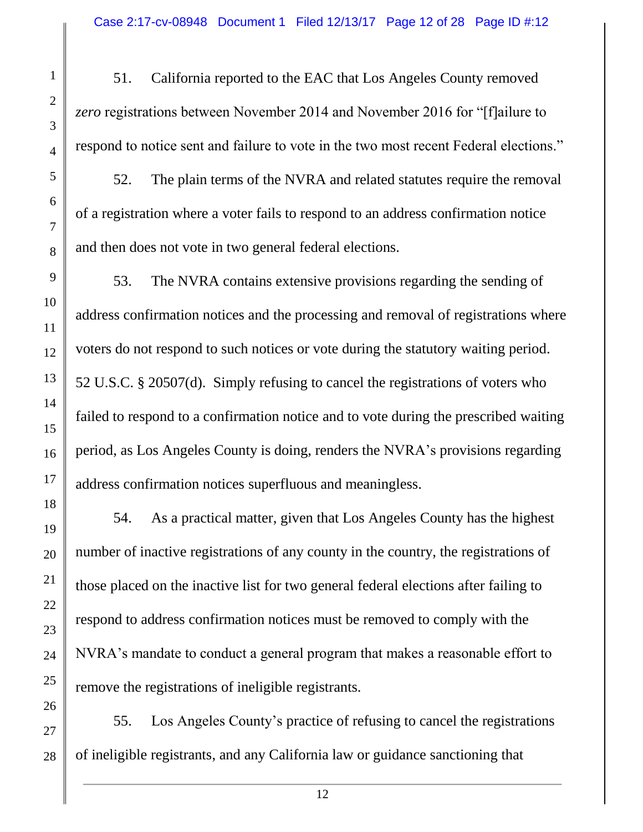51. California reported to the EAC that Los Angeles County removed *zero* registrations between November 2014 and November 2016 for "[f]ailure to respond to notice sent and failure to vote in the two most recent Federal elections."

52. The plain terms of the NVRA and related statutes require the removal of a registration where a voter fails to respond to an address confirmation notice and then does not vote in two general federal elections.

53. The NVRA contains extensive provisions regarding the sending of address confirmation notices and the processing and removal of registrations where voters do not respond to such notices or vote during the statutory waiting period. 52 U.S.C. § 20507(d). Simply refusing to cancel the registrations of voters who failed to respond to a confirmation notice and to vote during the prescribed waiting period, as Los Angeles County is doing, renders the NVRA's provisions regarding address confirmation notices superfluous and meaningless.

54. As a practical matter, given that Los Angeles County has the highest number of inactive registrations of any county in the country, the registrations of those placed on the inactive list for two general federal elections after failing to respond to address confirmation notices must be removed to comply with the NVRA's mandate to conduct a general program that makes a reasonable effort to remove the registrations of ineligible registrants.

55. Los Angeles County's practice of refusing to cancel the registrations of ineligible registrants, and any California law or guidance sanctioning that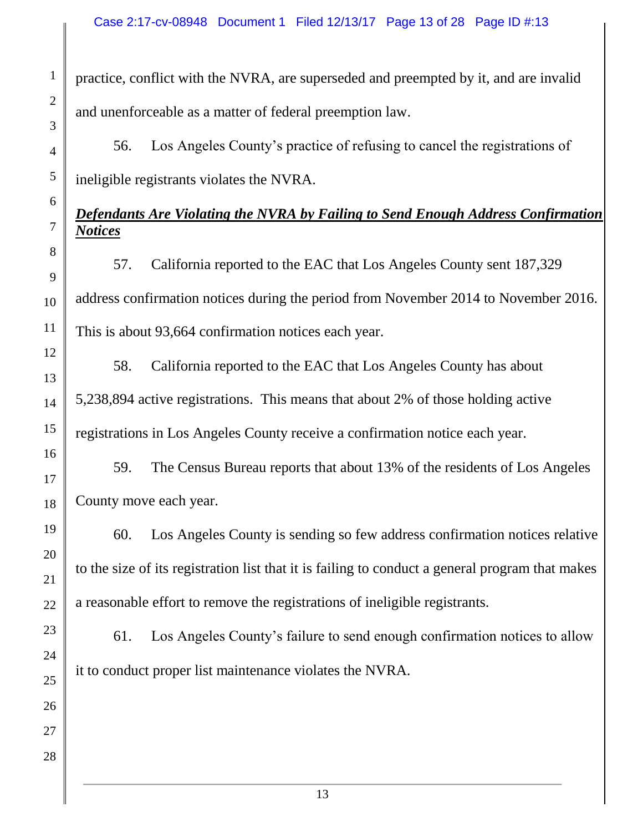practice, conflict with the NVRA, are superseded and preempted by it, and are invalid and unenforceable as a matter of federal preemption law.

56. Los Angeles County's practice of refusing to cancel the registrations of ineligible registrants violates the NVRA.

# *Defendants Are Violating the NVRA by Failing to Send Enough Address Confirmation Notices*

57. California reported to the EAC that Los Angeles County sent 187,329 address confirmation notices during the period from November 2014 to November 2016. This is about 93,664 confirmation notices each year.

58. California reported to the EAC that Los Angeles County has about 5,238,894 active registrations. This means that about 2% of those holding active registrations in Los Angeles County receive a confirmation notice each year.

59. The Census Bureau reports that about 13% of the residents of Los Angeles County move each year.

60. Los Angeles County is sending so few address confirmation notices relative to the size of its registration list that it is failing to conduct a general program that makes a reasonable effort to remove the registrations of ineligible registrants.

61. Los Angeles County's failure to send enough confirmation notices to allow it to conduct proper list maintenance violates the NVRA.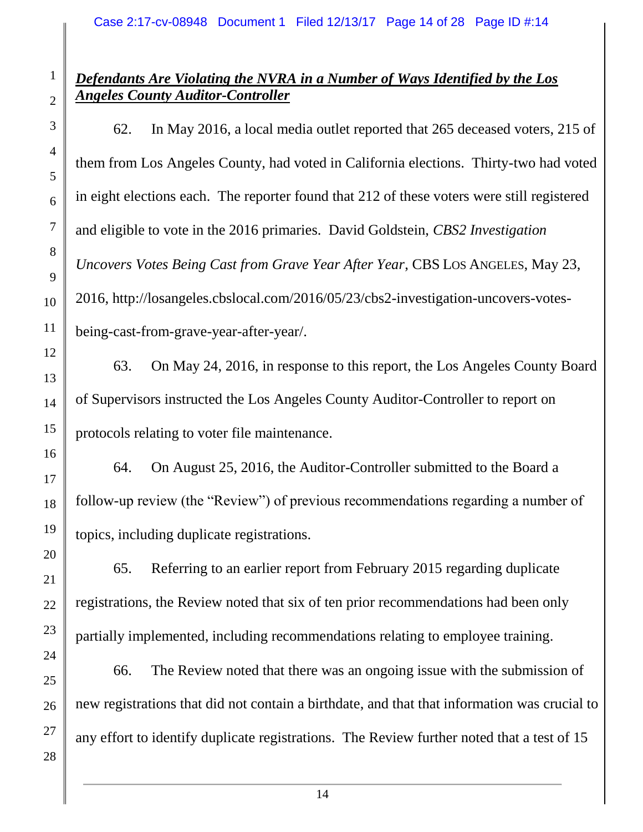### *Defendants Are Violating the NVRA in a Number of Ways Identified by the Los Angeles County Auditor-Controller*

62. In May 2016, a local media outlet reported that 265 deceased voters, 215 of them from Los Angeles County, had voted in California elections. Thirty-two had voted in eight elections each. The reporter found that 212 of these voters were still registered and eligible to vote in the 2016 primaries. David Goldstein, *CBS2 Investigation Uncovers Votes Being Cast from Grave Year After Year*, CBS LOS ANGELES, May 23, 2016, http://losangeles.cbslocal.com/2016/05/23/cbs2-investigation-uncovers-votesbeing-cast-from-grave-year-after-year/.

63. On May 24, 2016, in response to this report, the Los Angeles County Board of Supervisors instructed the Los Angeles County Auditor-Controller to report on protocols relating to voter file maintenance.

64. On August 25, 2016, the Auditor-Controller submitted to the Board a follow-up review (the "Review") of previous recommendations regarding a number of topics, including duplicate registrations.

65. Referring to an earlier report from February 2015 regarding duplicate registrations, the Review noted that six of ten prior recommendations had been only partially implemented, including recommendations relating to employee training.

66. The Review noted that there was an ongoing issue with the submission of new registrations that did not contain a birthdate, and that that information was crucial to any effort to identify duplicate registrations. The Review further noted that a test of 15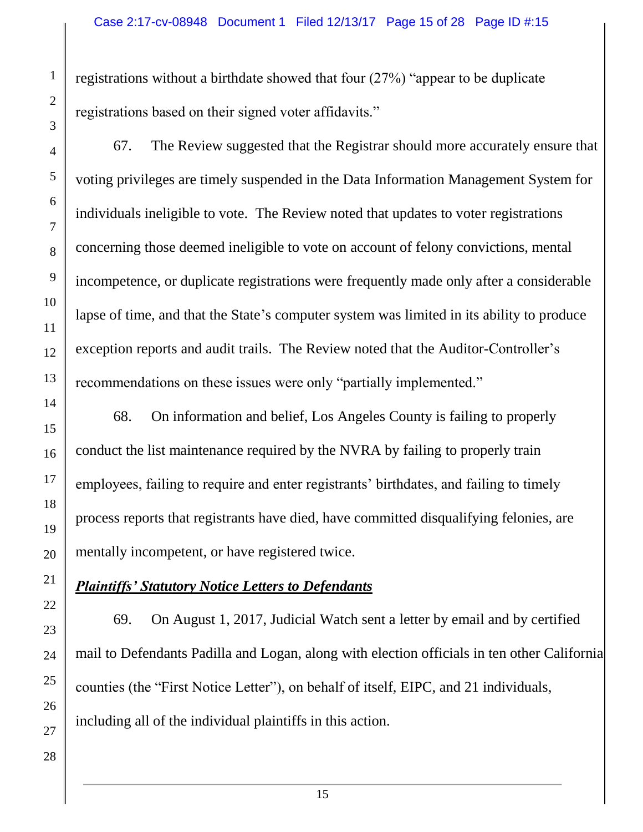registrations without a birthdate showed that four (27%) "appear to be duplicate registrations based on their signed voter affidavits."

67. The Review suggested that the Registrar should more accurately ensure that voting privileges are timely suspended in the Data Information Management System for individuals ineligible to vote. The Review noted that updates to voter registrations concerning those deemed ineligible to vote on account of felony convictions, mental incompetence, or duplicate registrations were frequently made only after a considerable lapse of time, and that the State's computer system was limited in its ability to produce exception reports and audit trails. The Review noted that the Auditor-Controller's recommendations on these issues were only "partially implemented."

68. On information and belief, Los Angeles County is failing to properly conduct the list maintenance required by the NVRA by failing to properly train employees, failing to require and enter registrants' birthdates, and failing to timely process reports that registrants have died, have committed disqualifying felonies, are mentally incompetent, or have registered twice.

# *Plaintiffs' Statutory Notice Letters to Defendants*

69. On August 1, 2017, Judicial Watch sent a letter by email and by certified mail to Defendants Padilla and Logan, along with election officials in ten other California counties (the "First Notice Letter"), on behalf of itself, EIPC, and 21 individuals, including all of the individual plaintiffs in this action.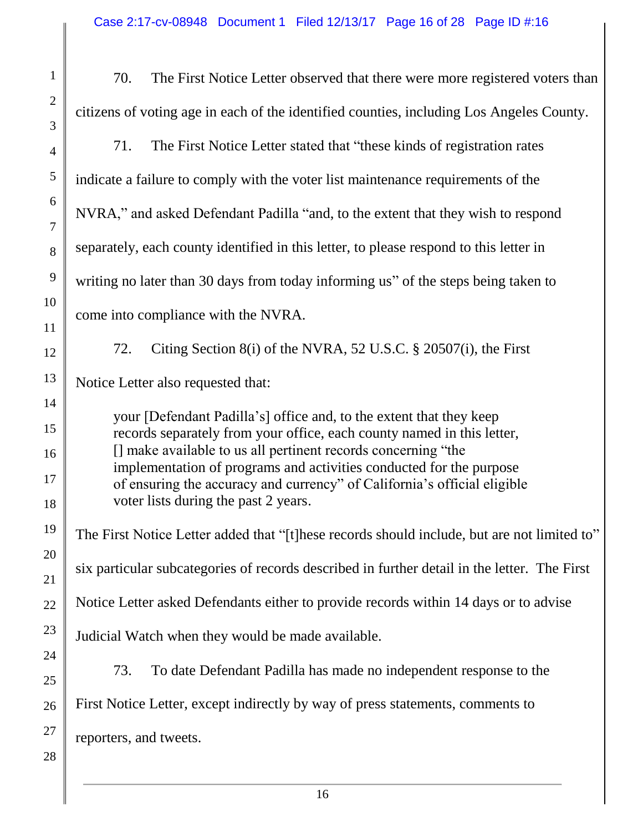| $\mathbf{1}$                   | 70.<br>The First Notice Letter observed that there were more registered voters than                                                                                                                                                                                                                                                                                                                       |  |  |  |  |
|--------------------------------|-----------------------------------------------------------------------------------------------------------------------------------------------------------------------------------------------------------------------------------------------------------------------------------------------------------------------------------------------------------------------------------------------------------|--|--|--|--|
| $\overline{c}$<br>3            | citizens of voting age in each of the identified counties, including Los Angeles County.                                                                                                                                                                                                                                                                                                                  |  |  |  |  |
| 4                              | 71.<br>The First Notice Letter stated that "these kinds of registration rates"                                                                                                                                                                                                                                                                                                                            |  |  |  |  |
| 5                              | indicate a failure to comply with the voter list maintenance requirements of the                                                                                                                                                                                                                                                                                                                          |  |  |  |  |
| 6<br>7                         | NVRA," and asked Defendant Padilla "and, to the extent that they wish to respond                                                                                                                                                                                                                                                                                                                          |  |  |  |  |
| 8                              | separately, each county identified in this letter, to please respond to this letter in                                                                                                                                                                                                                                                                                                                    |  |  |  |  |
| 9                              | writing no later than 30 days from today informing us" of the steps being taken to                                                                                                                                                                                                                                                                                                                        |  |  |  |  |
| $\overline{0}$<br>$\mathbf{1}$ | come into compliance with the NVRA.                                                                                                                                                                                                                                                                                                                                                                       |  |  |  |  |
| $\overline{c}$                 | Citing Section 8(i) of the NVRA, 52 U.S.C. § 20507(i), the First<br>72.                                                                                                                                                                                                                                                                                                                                   |  |  |  |  |
| 3                              | Notice Letter also requested that:                                                                                                                                                                                                                                                                                                                                                                        |  |  |  |  |
| 4<br>5<br>6<br>7<br>8          | your [Defendant Padilla's] office and, to the extent that they keep<br>records separately from your office, each county named in this letter,<br>[] make available to us all pertinent records concerning "the<br>implementation of programs and activities conducted for the purpose<br>of ensuring the accuracy and currency" of California's official eligible<br>voter lists during the past 2 years. |  |  |  |  |
| 9                              | The First Notice Letter added that "[t] hese records should include, but are not limited to"                                                                                                                                                                                                                                                                                                              |  |  |  |  |
| $\overline{0}$<br>$\mathbf{1}$ | six particular subcategories of records described in further detail in the letter. The First                                                                                                                                                                                                                                                                                                              |  |  |  |  |
| $\overline{c}$                 | Notice Letter asked Defendants either to provide records within 14 days or to advise                                                                                                                                                                                                                                                                                                                      |  |  |  |  |
| 3                              | Judicial Watch when they would be made available.                                                                                                                                                                                                                                                                                                                                                         |  |  |  |  |
| 4<br>5                         | 73.<br>To date Defendant Padilla has made no independent response to the                                                                                                                                                                                                                                                                                                                                  |  |  |  |  |
| 6                              | First Notice Letter, except indirectly by way of press statements, comments to                                                                                                                                                                                                                                                                                                                            |  |  |  |  |
| 7<br>8                         | reporters, and tweets.                                                                                                                                                                                                                                                                                                                                                                                    |  |  |  |  |

∥

 $\blacksquare$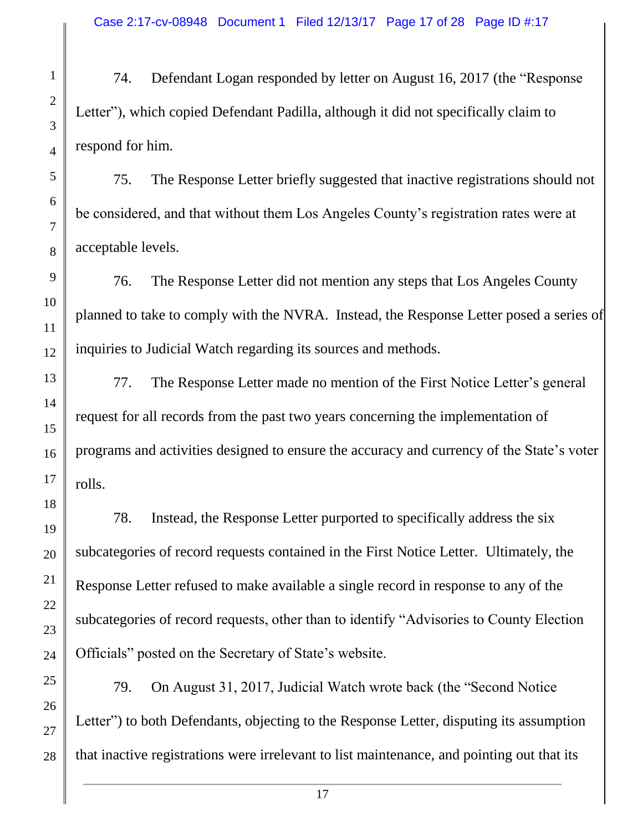74. Defendant Logan responded by letter on August 16, 2017 (the "Response Letter"), which copied Defendant Padilla, although it did not specifically claim to respond for him.

75. The Response Letter briefly suggested that inactive registrations should not be considered, and that without them Los Angeles County's registration rates were at acceptable levels.

76. The Response Letter did not mention any steps that Los Angeles County planned to take to comply with the NVRA. Instead, the Response Letter posed a series of inquiries to Judicial Watch regarding its sources and methods.

77. The Response Letter made no mention of the First Notice Letter's general request for all records from the past two years concerning the implementation of programs and activities designed to ensure the accuracy and currency of the State's voter rolls.

78. Instead, the Response Letter purported to specifically address the six subcategories of record requests contained in the First Notice Letter. Ultimately, the Response Letter refused to make available a single record in response to any of the subcategories of record requests, other than to identify "Advisories to County Election Officials" posted on the Secretary of State's website.

79. On August 31, 2017, Judicial Watch wrote back (the "Second Notice Letter") to both Defendants, objecting to the Response Letter, disputing its assumption that inactive registrations were irrelevant to list maintenance, and pointing out that its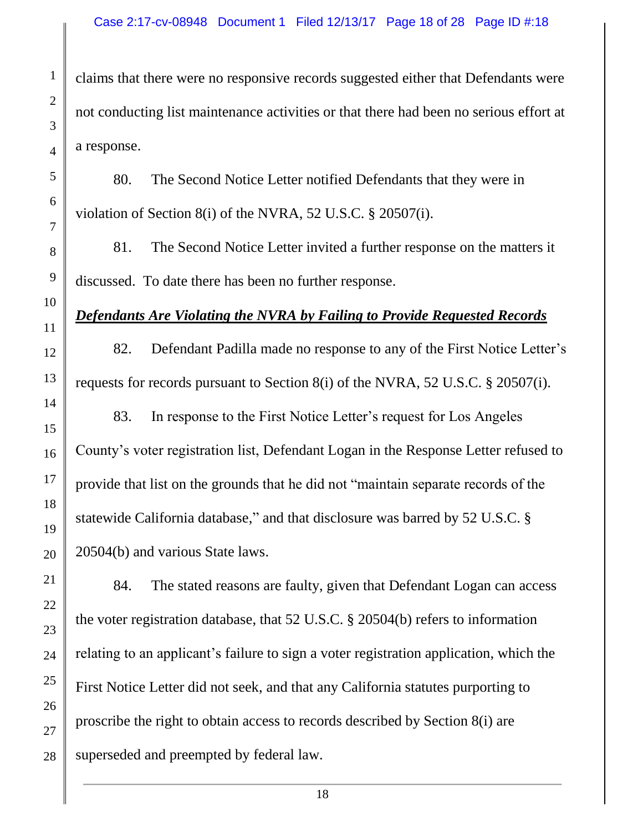claims that there were no responsive records suggested either that Defendants were not conducting list maintenance activities or that there had been no serious effort at a response.

80. The Second Notice Letter notified Defendants that they were in violation of Section 8(i) of the NVRA, 52 U.S.C. § 20507(i).

81. The Second Notice Letter invited a further response on the matters it discussed. To date there has been no further response.

### *Defendants Are Violating the NVRA by Failing to Provide Requested Records*

82. Defendant Padilla made no response to any of the First Notice Letter's requests for records pursuant to Section 8(i) of the NVRA, 52 U.S.C. § 20507(i).

83. In response to the First Notice Letter's request for Los Angeles County's voter registration list, Defendant Logan in the Response Letter refused to provide that list on the grounds that he did not "maintain separate records of the statewide California database," and that disclosure was barred by 52 U.S.C. § 20504(b) and various State laws.

84. The stated reasons are faulty, given that Defendant Logan can access the voter registration database, that 52 U.S.C. § 20504(b) refers to information relating to an applicant's failure to sign a voter registration application, which the First Notice Letter did not seek, and that any California statutes purporting to proscribe the right to obtain access to records described by Section 8(i) are superseded and preempted by federal law.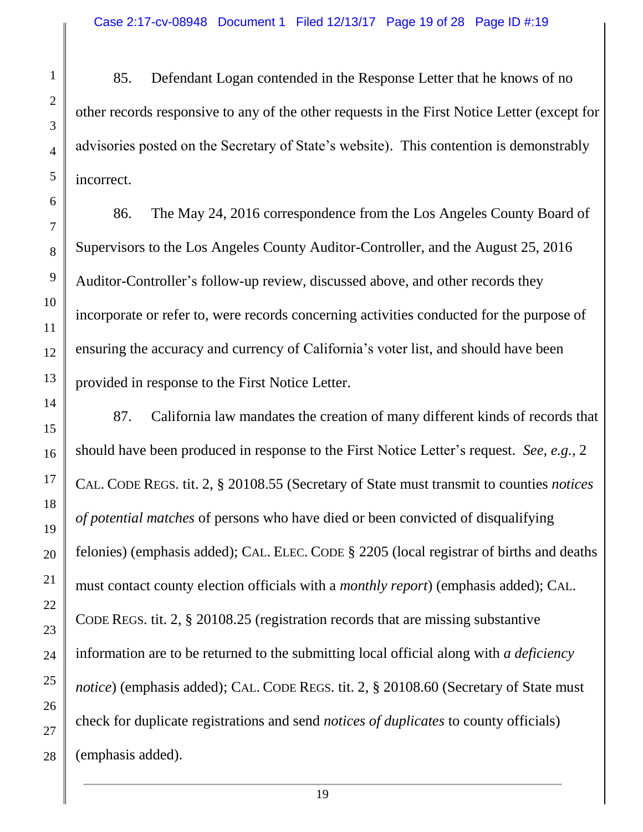85. Defendant Logan contended in the Response Letter that he knows of no other records responsive to any of the other requests in the First Notice Letter (except for advisories posted on the Secretary of State's website). This contention is demonstrably incorrect.

86. The May 24, 2016 correspondence from the Los Angeles County Board of Supervisors to the Los Angeles County Auditor-Controller, and the August 25, 2016 Auditor-Controller's follow-up review, discussed above, and other records they incorporate or refer to, were records concerning activities conducted for the purpose of ensuring the accuracy and currency of California's voter list, and should have been provided in response to the First Notice Letter.

87. California law mandates the creation of many different kinds of records that should have been produced in response to the First Notice Letter's request. *See, e.g.,* 2 CAL. CODE REGS. tit. 2, § 20108.55 (Secretary of State must transmit to counties *notices of potential matches* of persons who have died or been convicted of disqualifying felonies) (emphasis added); CAL. ELEC. CODE § 2205 (local registrar of births and deaths must contact county election officials with a *monthly report*) (emphasis added); CAL. CODE REGS. tit. 2, § 20108.25 (registration records that are missing substantive information are to be returned to the submitting local official along with *a deficiency notice*) (emphasis added); CAL. CODE REGS. tit. 2, § 20108.60 (Secretary of State must check for duplicate registrations and send *notices of duplicates* to county officials) (emphasis added).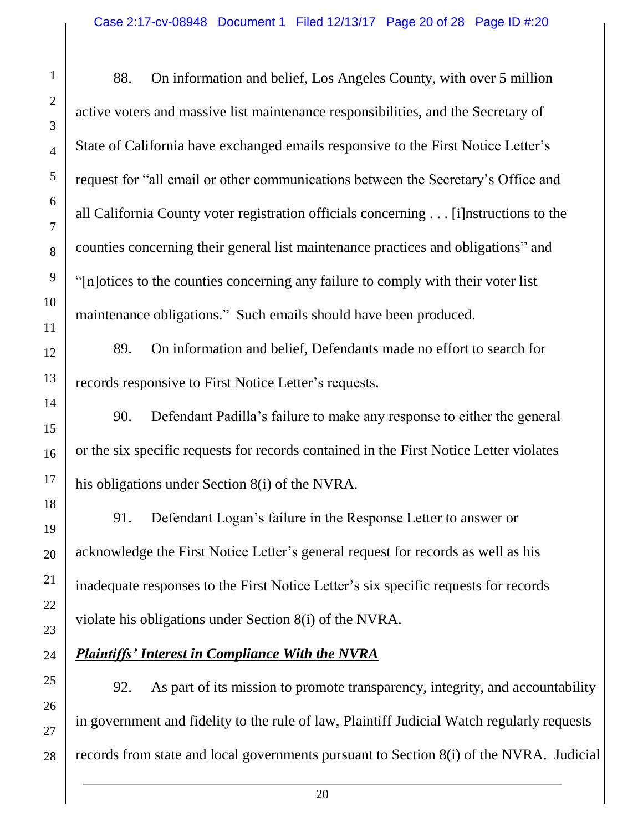88. On information and belief, Los Angeles County, with over 5 million active voters and massive list maintenance responsibilities, and the Secretary of State of California have exchanged emails responsive to the First Notice Letter's request for "all email or other communications between the Secretary's Office and all California County voter registration officials concerning . . . [i]nstructions to the counties concerning their general list maintenance practices and obligations" and "[n]otices to the counties concerning any failure to comply with their voter list maintenance obligations." Such emails should have been produced. 89. On information and belief, Defendants made no effort to search for records responsive to First Notice Letter's requests. 90. Defendant Padilla's failure to make any response to either the general or the six specific requests for records contained in the First Notice Letter violates his obligations under Section 8(i) of the NVRA. 91. Defendant Logan's failure in the Response Letter to answer or acknowledge the First Notice Letter's general request for records as well as his

violate his obligations under Section 8(i) of the NVRA.

inadequate responses to the First Notice Letter's six specific requests for records

*Plaintiffs' Interest in Compliance With the NVRA*

92. As part of its mission to promote transparency, integrity, and accountability in government and fidelity to the rule of law, Plaintiff Judicial Watch regularly requests records from state and local governments pursuant to Section 8(i) of the NVRA. Judicial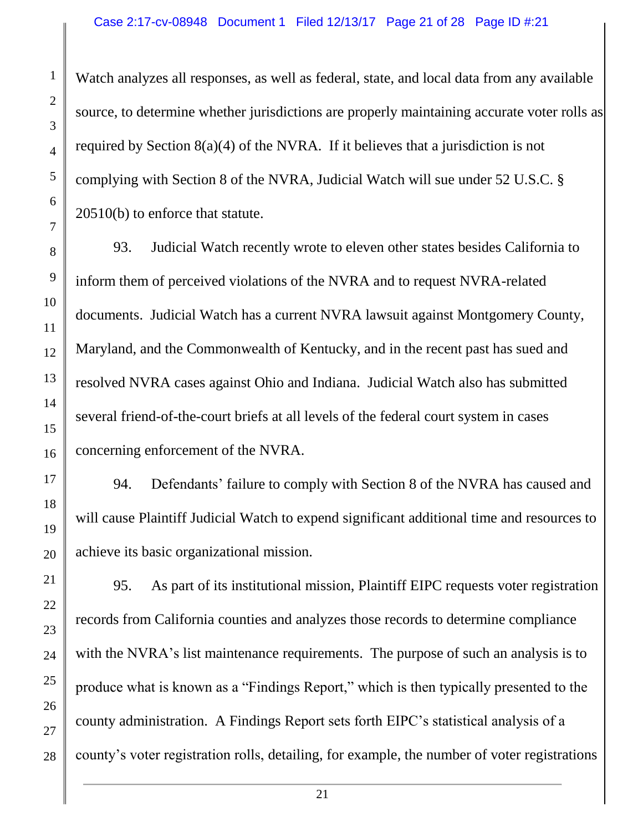Watch analyzes all responses, as well as federal, state, and local data from any available source, to determine whether jurisdictions are properly maintaining accurate voter rolls as required by Section 8(a)(4) of the NVRA. If it believes that a jurisdiction is not complying with Section 8 of the NVRA, Judicial Watch will sue under 52 U.S.C. § 20510(b) to enforce that statute.

93. Judicial Watch recently wrote to eleven other states besides California to inform them of perceived violations of the NVRA and to request NVRA-related documents. Judicial Watch has a current NVRA lawsuit against Montgomery County, Maryland, and the Commonwealth of Kentucky, and in the recent past has sued and resolved NVRA cases against Ohio and Indiana. Judicial Watch also has submitted several friend-of-the-court briefs at all levels of the federal court system in cases concerning enforcement of the NVRA.

94. Defendants' failure to comply with Section 8 of the NVRA has caused and will cause Plaintiff Judicial Watch to expend significant additional time and resources to achieve its basic organizational mission.

95. As part of its institutional mission, Plaintiff EIPC requests voter registration records from California counties and analyzes those records to determine compliance with the NVRA's list maintenance requirements. The purpose of such an analysis is to produce what is known as a "Findings Report," which is then typically presented to the county administration. A Findings Report sets forth EIPC's statistical analysis of a county's voter registration rolls, detailing, for example, the number of voter registrations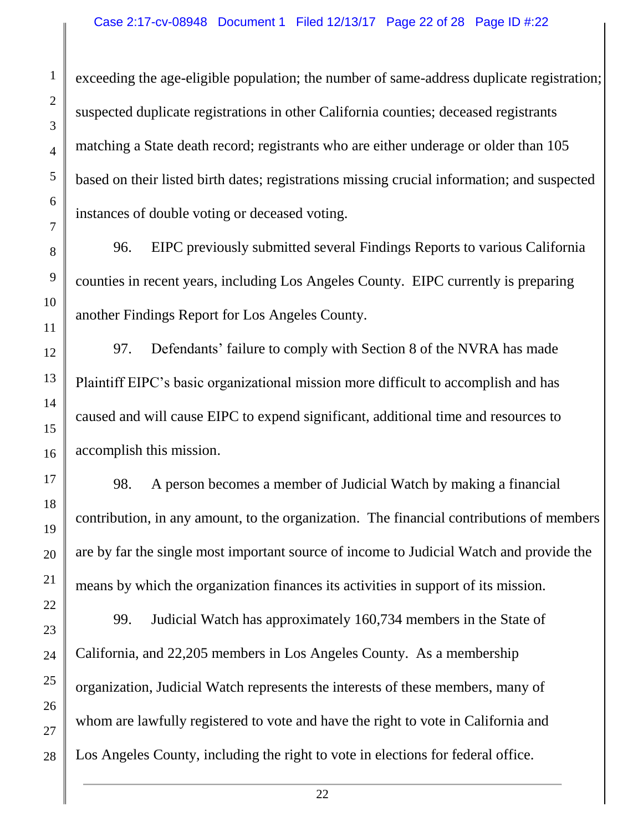exceeding the age-eligible population; the number of same-address duplicate registration; suspected duplicate registrations in other California counties; deceased registrants matching a State death record; registrants who are either underage or older than 105 based on their listed birth dates; registrations missing crucial information; and suspected instances of double voting or deceased voting.

96. EIPC previously submitted several Findings Reports to various California counties in recent years, including Los Angeles County. EIPC currently is preparing another Findings Report for Los Angeles County.

97. Defendants' failure to comply with Section 8 of the NVRA has made Plaintiff EIPC's basic organizational mission more difficult to accomplish and has caused and will cause EIPC to expend significant, additional time and resources to accomplish this mission.

98. A person becomes a member of Judicial Watch by making a financial contribution, in any amount, to the organization. The financial contributions of members are by far the single most important source of income to Judicial Watch and provide the means by which the organization finances its activities in support of its mission.

99. Judicial Watch has approximately 160,734 members in the State of California, and 22,205 members in Los Angeles County. As a membership organization, Judicial Watch represents the interests of these members, many of whom are lawfully registered to vote and have the right to vote in California and Los Angeles County, including the right to vote in elections for federal office.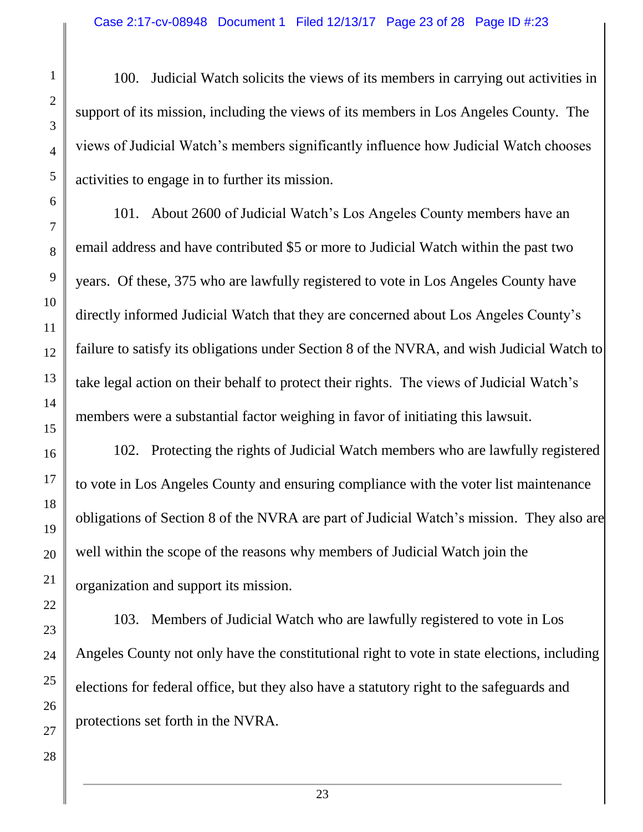100. Judicial Watch solicits the views of its members in carrying out activities in support of its mission, including the views of its members in Los Angeles County. The views of Judicial Watch's members significantly influence how Judicial Watch chooses activities to engage in to further its mission.

101. About 2600 of Judicial Watch's Los Angeles County members have an email address and have contributed \$5 or more to Judicial Watch within the past two years. Of these, 375 who are lawfully registered to vote in Los Angeles County have directly informed Judicial Watch that they are concerned about Los Angeles County's failure to satisfy its obligations under Section 8 of the NVRA, and wish Judicial Watch to take legal action on their behalf to protect their rights. The views of Judicial Watch's members were a substantial factor weighing in favor of initiating this lawsuit.

102. Protecting the rights of Judicial Watch members who are lawfully registered to vote in Los Angeles County and ensuring compliance with the voter list maintenance obligations of Section 8 of the NVRA are part of Judicial Watch's mission. They also are well within the scope of the reasons why members of Judicial Watch join the organization and support its mission.

103. Members of Judicial Watch who are lawfully registered to vote in Los Angeles County not only have the constitutional right to vote in state elections, including elections for federal office, but they also have a statutory right to the safeguards and protections set forth in the NVRA.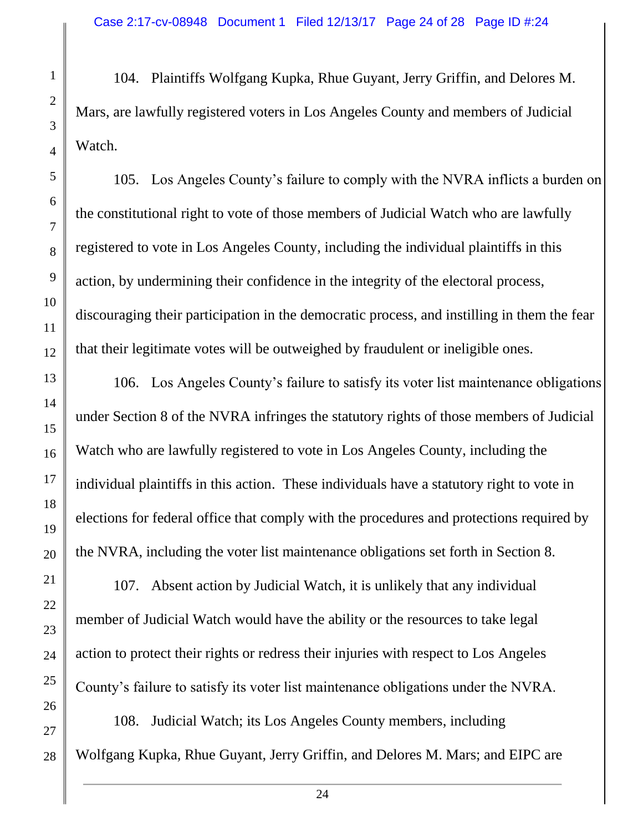104. Plaintiffs Wolfgang Kupka, Rhue Guyant, Jerry Griffin, and Delores M. Mars, are lawfully registered voters in Los Angeles County and members of Judicial Watch.

105. Los Angeles County's failure to comply with the NVRA inflicts a burden on the constitutional right to vote of those members of Judicial Watch who are lawfully registered to vote in Los Angeles County, including the individual plaintiffs in this action, by undermining their confidence in the integrity of the electoral process, discouraging their participation in the democratic process, and instilling in them the fear that their legitimate votes will be outweighed by fraudulent or ineligible ones.

106. Los Angeles County's failure to satisfy its voter list maintenance obligations under Section 8 of the NVRA infringes the statutory rights of those members of Judicial Watch who are lawfully registered to vote in Los Angeles County, including the individual plaintiffs in this action. These individuals have a statutory right to vote in elections for federal office that comply with the procedures and protections required by the NVRA, including the voter list maintenance obligations set forth in Section 8.

107. Absent action by Judicial Watch, it is unlikely that any individual member of Judicial Watch would have the ability or the resources to take legal action to protect their rights or redress their injuries with respect to Los Angeles County's failure to satisfy its voter list maintenance obligations under the NVRA.

108. Judicial Watch; its Los Angeles County members, including Wolfgang Kupka, Rhue Guyant, Jerry Griffin, and Delores M. Mars; and EIPC are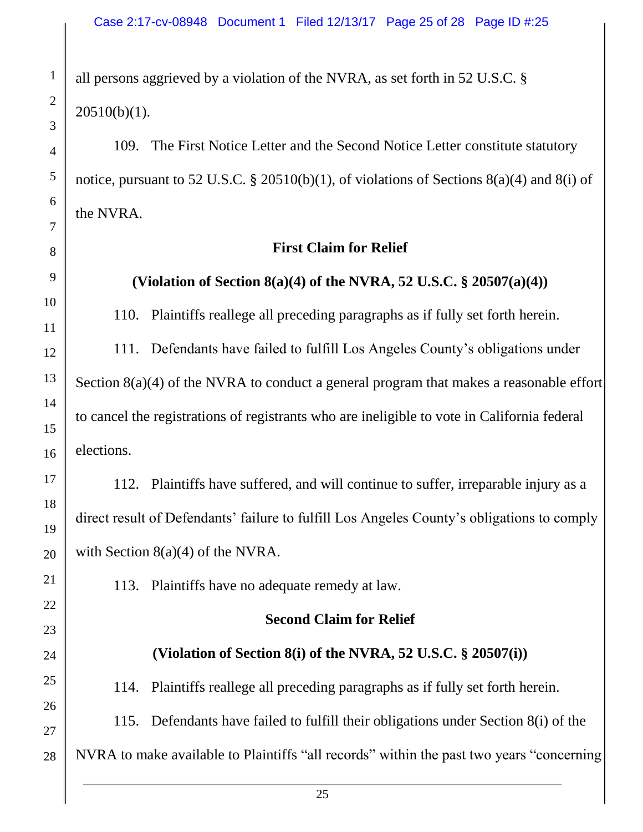all persons aggrieved by a violation of the NVRA, as set forth in 52 U.S.C. § 20510(b)(1).

109. The First Notice Letter and the Second Notice Letter constitute statutory notice, pursuant to 52 U.S.C. § 20510(b)(1), of violations of Sections 8(a)(4) and 8(i) of the NVRA.

### **First Claim for Relief**

# **(Violation of Section 8(a)(4) of the NVRA, 52 U.S.C. § 20507(a)(4))**

110. Plaintiffs reallege all preceding paragraphs as if fully set forth herein.

111. Defendants have failed to fulfill Los Angeles County's obligations under Section 8(a)(4) of the NVRA to conduct a general program that makes a reasonable effort to cancel the registrations of registrants who are ineligible to vote in California federal elections.

112. Plaintiffs have suffered, and will continue to suffer, irreparable injury as a direct result of Defendants' failure to fulfill Los Angeles County's obligations to comply with Section 8(a)(4) of the NVRA.

113. Plaintiffs have no adequate remedy at law.

## **Second Claim for Relief**

# **(Violation of Section 8(i) of the NVRA, 52 U.S.C. § 20507(i))**

114. Plaintiffs reallege all preceding paragraphs as if fully set forth herein.

115. Defendants have failed to fulfill their obligations under Section 8(i) of the

NVRA to make available to Plaintiffs "all records" within the past two years "concerning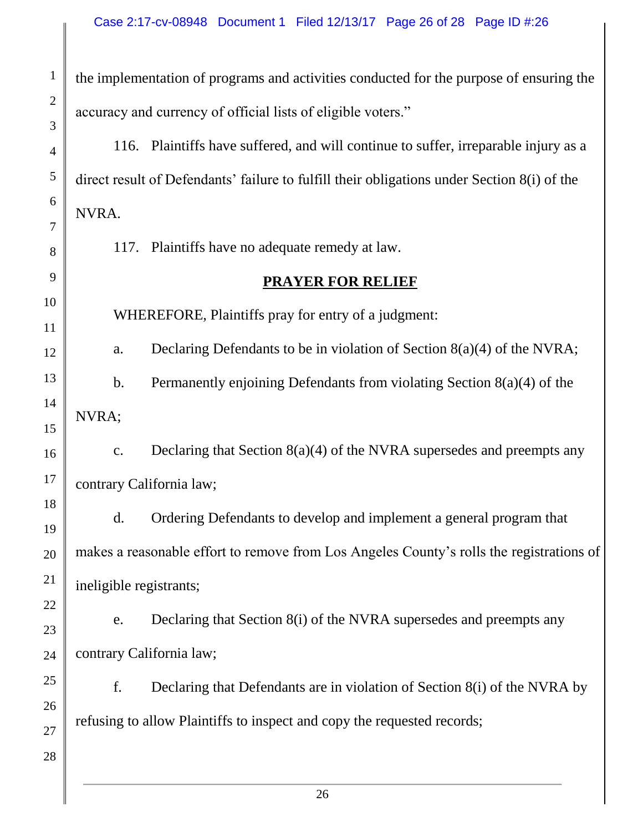the implementation of programs and activities conducted for the purpose of ensuring the accuracy and currency of official lists of eligible voters."

116. Plaintiffs have suffered, and will continue to suffer, irreparable injury as a direct result of Defendants' failure to fulfill their obligations under Section 8(i) of the NVRA.

117. Plaintiffs have no adequate remedy at law.

#### **PRAYER FOR RELIEF**

WHEREFORE, Plaintiffs pray for entry of a judgment:

a. Declaring Defendants to be in violation of Section 8(a)(4) of the NVRA;

b. Permanently enjoining Defendants from violating Section 8(a)(4) of the NVRA;

c. Declaring that Section 8(a)(4) of the NVRA supersedes and preempts any contrary California law;

d. Ordering Defendants to develop and implement a general program that makes a reasonable effort to remove from Los Angeles County's rolls the registrations of ineligible registrants;

e. Declaring that Section 8(i) of the NVRA supersedes and preempts any contrary California law;

f. Declaring that Defendants are in violation of Section 8(i) of the NVRA by refusing to allow Plaintiffs to inspect and copy the requested records;

26 27 28

1

2

3

4

5

6

7

8

9

10

11

12

13

14

15

16

17

18

19

20

21

22

23

24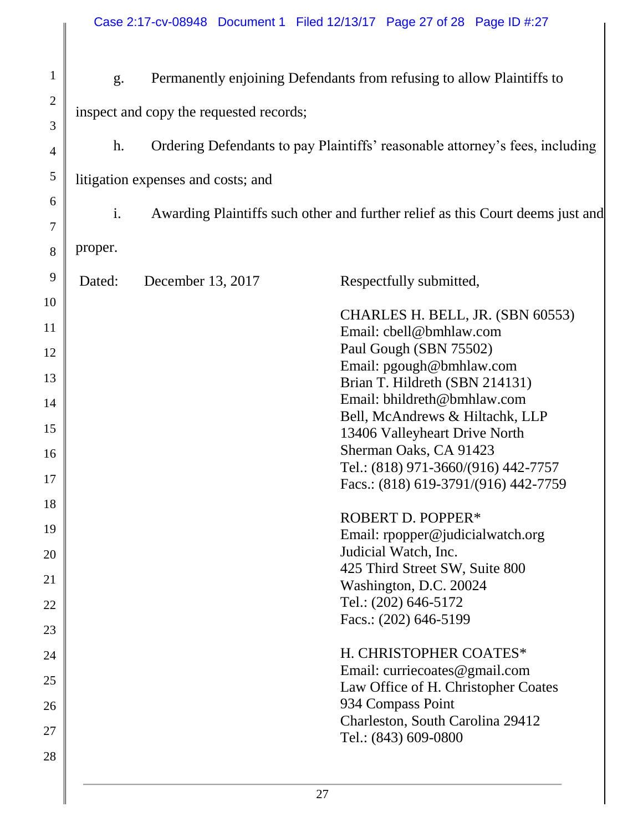| $\mathbf{1}$   | g.                                      |                                                                              | Permanently enjoining Defendants from refusing to allow Plaintiffs to          |  |  |  |
|----------------|-----------------------------------------|------------------------------------------------------------------------------|--------------------------------------------------------------------------------|--|--|--|
| $\overline{2}$ | inspect and copy the requested records; |                                                                              |                                                                                |  |  |  |
| 3<br>4         | h.                                      | Ordering Defendants to pay Plaintiffs' reasonable attorney's fees, including |                                                                                |  |  |  |
| 5              | litigation expenses and costs; and      |                                                                              |                                                                                |  |  |  |
| 6<br>7         | i.                                      |                                                                              | Awarding Plaintiffs such other and further relief as this Court deems just and |  |  |  |
| 8              | proper.                                 |                                                                              |                                                                                |  |  |  |
| 9              | Dated:                                  | December 13, 2017                                                            | Respectfully submitted,                                                        |  |  |  |
| 10             |                                         |                                                                              | CHARLES H. BELL, JR. (SBN 60553)                                               |  |  |  |
| 11             |                                         |                                                                              | Email: cbell@bmhlaw.com<br>Paul Gough (SBN 75502)                              |  |  |  |
| 12             |                                         |                                                                              | Email: pgough@bmhlaw.com                                                       |  |  |  |
| 13             |                                         |                                                                              | Brian T. Hildreth (SBN 214131)<br>Email: bhildreth@bmhlaw.com                  |  |  |  |
| 14             |                                         |                                                                              | Bell, McAndrews & Hiltachk, LLP                                                |  |  |  |
| 15             |                                         |                                                                              | 13406 Valleyheart Drive North                                                  |  |  |  |
| 16             |                                         |                                                                              | Sherman Oaks, CA 91423                                                         |  |  |  |
| 17             |                                         |                                                                              | Tel.: (818) 971-3660/(916) 442-7757<br>Facs.: (818) 619-3791/(916) 442-7759    |  |  |  |
| 18             |                                         |                                                                              |                                                                                |  |  |  |
| 19             |                                         |                                                                              | <b>ROBERT D. POPPER*</b><br>Email: rpopper@judicialwatch.org                   |  |  |  |
| 20             |                                         |                                                                              | Judicial Watch, Inc.                                                           |  |  |  |
|                |                                         |                                                                              | 425 Third Street SW, Suite 800                                                 |  |  |  |
| 21             |                                         |                                                                              | Washington, D.C. 20024                                                         |  |  |  |
| 22             |                                         |                                                                              | Tel.: (202) 646-5172                                                           |  |  |  |
| 23             |                                         |                                                                              | Facs.: (202) 646-5199                                                          |  |  |  |
| 24             |                                         |                                                                              | H. CHRISTOPHER COATES*                                                         |  |  |  |
| 25             |                                         |                                                                              | Email: curriecoates@gmail.com                                                  |  |  |  |
| 26             |                                         |                                                                              | Law Office of H. Christopher Coates<br>934 Compass Point                       |  |  |  |
|                |                                         |                                                                              | Charleston, South Carolina 29412                                               |  |  |  |
| 27             |                                         |                                                                              | Tel.: (843) 609-0800                                                           |  |  |  |
| 28             |                                         |                                                                              |                                                                                |  |  |  |
|                |                                         |                                                                              | 27                                                                             |  |  |  |